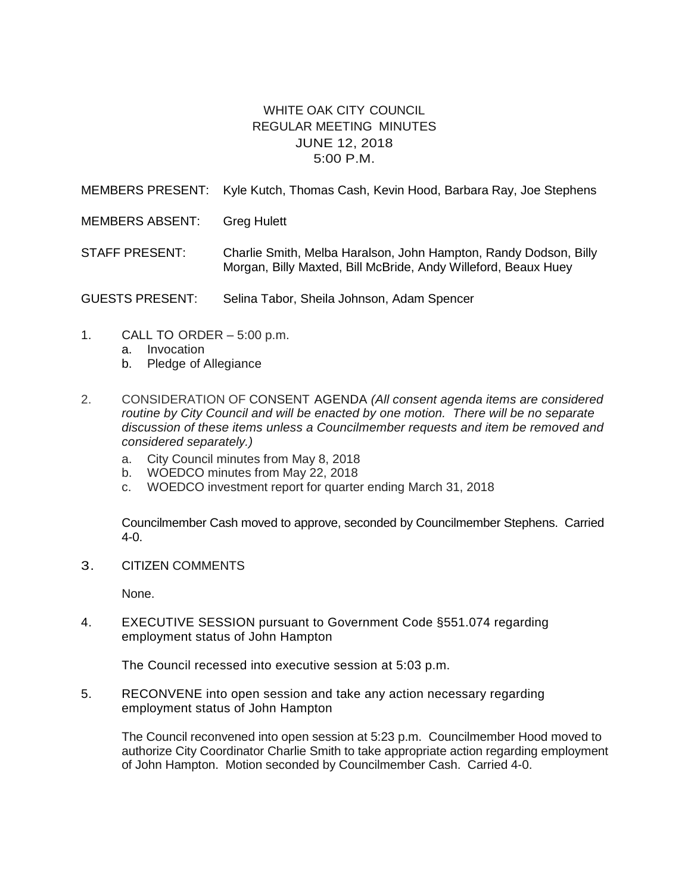## WHITE OAK CITY COUNCIL REGULAR MEETING MINUTES JUNE 12, 2018 5:00 P.M.

MEMBERS PRESENT: Kyle Kutch, Thomas Cash, Kevin Hood, Barbara Ray, Joe Stephens

MEMBERS ABSENT: Greg Hulett

STAFF PRESENT: Charlie Smith, Melba Haralson, John Hampton, Randy Dodson, Billy Morgan, Billy Maxted, Bill McBride, Andy Willeford, Beaux Huey

GUESTS PRESENT: Selina Tabor, Sheila Johnson, Adam Spencer

- 1. CALL TO ORDER 5:00 p.m.
	- a. Invocation
	- b. Pledge of Allegiance
- 2. CONSIDERATION OF CONSENT AGENDA *(All consent agenda items are considered routine by City Council and will be enacted by one motion. There will be no separate discussion of these items unless a Councilmember requests and item be removed and considered separately.)*
	- a. City Council minutes from May 8, 2018
	- b. WOEDCO minutes from May 22, 2018
	- c. WOEDCO investment report for quarter ending March 31, 2018

Councilmember Cash moved to approve, seconded by Councilmember Stephens. Carried 4-0.

3. CITIZEN COMMENTS

None.

4. EXECUTIVE SESSION pursuant to Government Code §551.074 regarding employment status of John Hampton

The Council recessed into executive session at 5:03 p.m.

5. RECONVENE into open session and take any action necessary regarding employment status of John Hampton

The Council reconvened into open session at 5:23 p.m. Councilmember Hood moved to authorize City Coordinator Charlie Smith to take appropriate action regarding employment of John Hampton. Motion seconded by Councilmember Cash. Carried 4-0.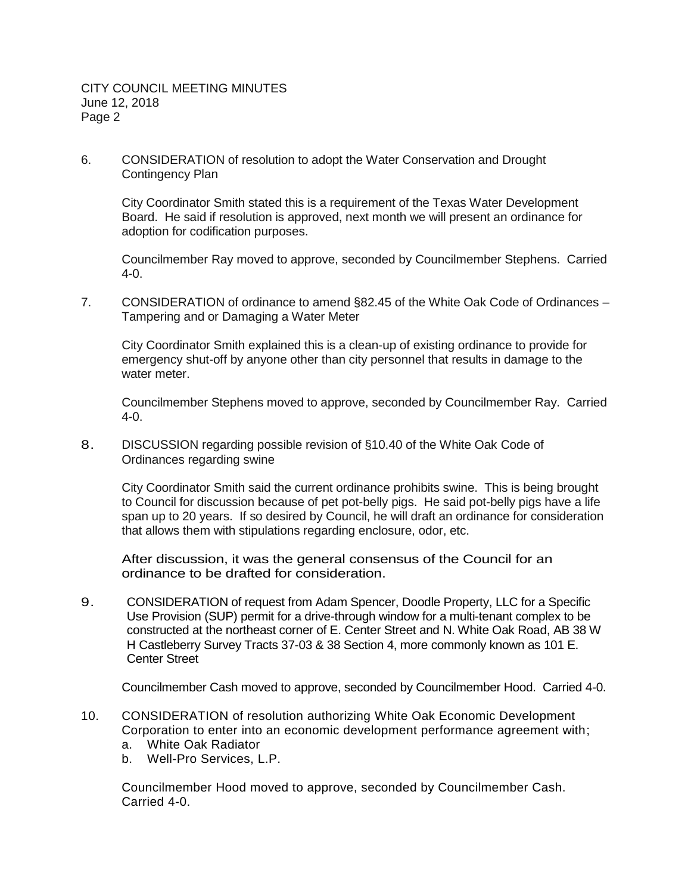6. CONSIDERATION of resolution to adopt the Water Conservation and Drought Contingency Plan

City Coordinator Smith stated this is a requirement of the Texas Water Development Board. He said if resolution is approved, next month we will present an ordinance for adoption for codification purposes.

Councilmember Ray moved to approve, seconded by Councilmember Stephens. Carried 4-0.

7. CONSIDERATION of ordinance to amend §82.45 of the White Oak Code of Ordinances – Tampering and or Damaging a Water Meter

City Coordinator Smith explained this is a clean-up of existing ordinance to provide for emergency shut-off by anyone other than city personnel that results in damage to the water meter.

Councilmember Stephens moved to approve, seconded by Councilmember Ray. Carried 4-0.

8. DISCUSSION regarding possible revision of §10.40 of the White Oak Code of Ordinances regarding swine

City Coordinator Smith said the current ordinance prohibits swine. This is being brought to Council for discussion because of pet pot-belly pigs. He said pot-belly pigs have a life span up to 20 years. If so desired by Council, he will draft an ordinance for consideration that allows them with stipulations regarding enclosure, odor, etc.

After discussion, it was the general consensus of the Council for an ordinance to be drafted for consideration.

9. CONSIDERATION of request from Adam Spencer, Doodle Property, LLC for a Specific Use Provision (SUP) permit for a drive-through window for a multi-tenant complex to be constructed at the northeast corner of E. Center Street and N. White Oak Road, AB 38 W H Castleberry Survey Tracts 37-03 & 38 Section 4, more commonly known as 101 E. Center Street

Councilmember Cash moved to approve, seconded by Councilmember Hood. Carried 4-0.

- 10. CONSIDERATION of resolution authorizing White Oak Economic Development Corporation to enter into an economic development performance agreement with; a. White Oak Radiator
	- b. Well-Pro Services, L.P.

Councilmember Hood moved to approve, seconded by Councilmember Cash. Carried 4-0.